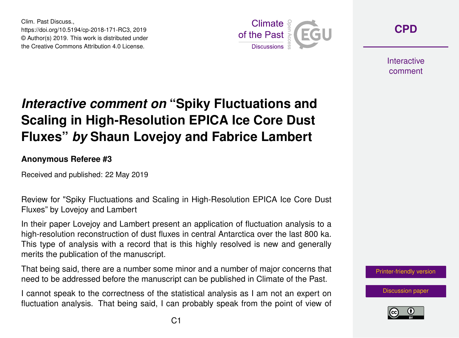Clim. Past Discuss., https://doi.org/10.5194/cp-2018-171-RC3, 2019 © Author(s) 2019. This work is distributed under the Creative Commons Attribution 4.0 License.



**[CPD](https://www.clim-past-discuss.net/)**

**Interactive** comment

## *Interactive comment on* **"Spiky Fluctuations and Scaling in High-Resolution EPICA Ice Core Dust Fluxes"** *by* **Shaun Lovejoy and Fabrice Lambert**

**Anonymous Referee #3**

Received and published: 22 May 2019

Review for "Spiky Fluctuations and Scaling in High-Resolution EPICA Ice Core Dust Fluxes" by Lovejoy and Lambert

In their paper Lovejoy and Lambert present an application of fluctuation analysis to a high-resolution reconstruction of dust fluxes in central Antarctica over the last 800 ka. This type of analysis with a record that is this highly resolved is new and generally merits the publication of the manuscript.

That being said, there are a number some minor and a number of major concerns that need to be addressed before the manuscript can be published in Climate of the Past.

I cannot speak to the correctness of the statistical analysis as I am not an expert on fluctuation analysis. That being said, I can probably speak from the point of view of



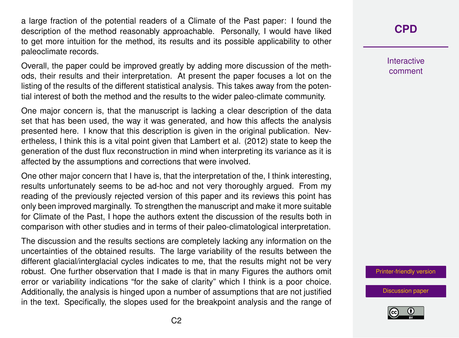a large fraction of the potential readers of a Climate of the Past paper: I found the description of the method reasonably approachable. Personally, I would have liked to get more intuition for the method, its results and its possible applicability to other paleoclimate records.

Overall, the paper could be improved greatly by adding more discussion of the methods, their results and their interpretation. At present the paper focuses a lot on the listing of the results of the different statistical analysis. This takes away from the potential interest of both the method and the results to the wider paleo-climate community.

One major concern is, that the manuscript is lacking a clear description of the data set that has been used, the way it was generated, and how this affects the analysis presented here. I know that this description is given in the original publication. Nevertheless, I think this is a vital point given that Lambert et al. (2012) state to keep the generation of the dust flux reconstruction in mind when interpreting its variance as it is affected by the assumptions and corrections that were involved.

One other major concern that I have is, that the interpretation of the, I think interesting, results unfortunately seems to be ad-hoc and not very thoroughly argued. From my reading of the previously rejected version of this paper and its reviews this point has only been improved marginally. To strengthen the manuscript and make it more suitable for Climate of the Past, I hope the authors extent the discussion of the results both in comparison with other studies and in terms of their paleo-climatological interpretation.

The discussion and the results sections are completely lacking any information on the uncertainties of the obtained results. The large variability of the results between the different glacial/interglacial cycles indicates to me, that the results might not be very robust. One further observation that I made is that in many Figures the authors omit error or variability indications "for the sake of clarity" which I think is a poor choice. Additionally, the analysis is hinged upon a number of assumptions that are not justified in the text. Specifically, the slopes used for the breakpoint analysis and the range of

## **[CPD](https://www.clim-past-discuss.net/)**

Interactive comment

[Printer-friendly version](https://www.clim-past-discuss.net/cp-2018-171/cp-2018-171-RC3-print.pdf)

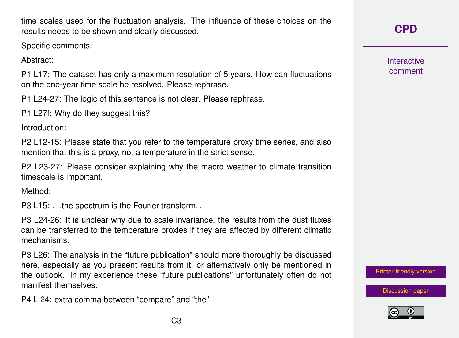C3

P4 L 24: extra comma between "compare" and "the"

time scales used for the fluctuation analysis. The influence of these choices on the results needs to be shown and clearly discussed.

Specific comments:

Abstract:

P1 L17: The dataset has only a maximum resolution of 5 years. How can fluctuations on the one-year time scale be resolved. Please rephrase.

P1 L24-27: The logic of this sentence is not clear. Please rephrase.

P1 L27f: Why do they suggest this?

Introduction:

P2 L12-15: Please state that you refer to the temperature proxy time series, and also mention that this is a proxy, not a temperature in the strict sense.

P2 L23-27: Please consider explaining why the macro weather to climate transition timescale is important.

Method:

P3 L15: ... the spectrum is the Fourier transform...

P3 L24-26: It is unclear why due to scale invariance, the results from the dust fluxes can be transferred to the temperature proxies if they are affected by different climatic mechanisms.

P3 L26: The analysis in the "future publication" should more thoroughly be discussed here, especially as you present results from it, or alternatively only be mentioned in the outlook. In my experience these "future publications" unfortunately often do not manifest themselves.

**Interactive** comment

**[CPD](https://www.clim-past-discuss.net/)**

[Printer-friendly version](https://www.clim-past-discuss.net/cp-2018-171/cp-2018-171-RC3-print.pdf)

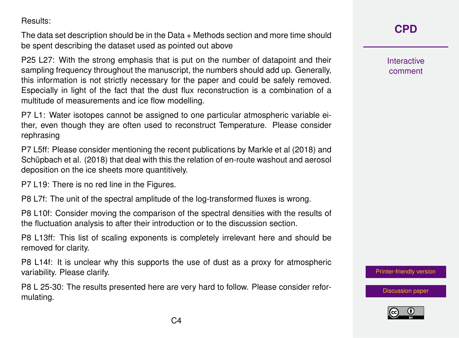Results:

The data set description should be in the Data + Methods section and more time should be spent describing the dataset used as pointed out above

P25 L27: With the strong emphasis that is put on the number of datapoint and their sampling frequency throughout the manuscript, the numbers should add up. Generally, this information is not strictly necessary for the paper and could be safely removed. Especially in light of the fact that the dust flux reconstruction is a combination of a multitude of measurements and ice flow modelling.

P7 L1: Water isotopes cannot be assigned to one particular atmospheric variable either, even though they are often used to reconstruct Temperature. Please consider rephrasing

P7 L5ff: Please consider mentioning the recent publications by Markle et al (2018) and Schüpbach et al. (2018) that deal with this the relation of en-route washout and aerosol deposition on the ice sheets more quantitively.

P7 L19: There is no red line in the Figures.

P8 L7f: The unit of the spectral amplitude of the log-transformed fluxes is wrong.

P8 L10f: Consider moving the comparison of the spectral densities with the results of the fluctuation analysis to after their introduction or to the discussion section.

P8 L13ff: This list of scaling exponents is completely irrelevant here and should be removed for clarity.

P8 L14f: It is unclear why this supports the use of dust as a proxy for atmospheric variability. Please clarify.

P8 L 25-30: The results presented here are very hard to follow. Please consider reformulating.

**[CPD](https://www.clim-past-discuss.net/)**

Interactive comment

[Printer-friendly version](https://www.clim-past-discuss.net/cp-2018-171/cp-2018-171-RC3-print.pdf)

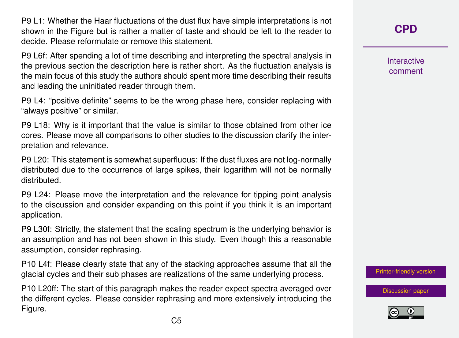P9 L1: Whether the Haar fluctuations of the dust flux have simple interpretations is not shown in the Figure but is rather a matter of taste and should be left to the reader to decide. Please reformulate or remove this statement.

P9 L6f: After spending a lot of time describing and interpreting the spectral analysis in the previous section the description here is rather short. As the fluctuation analysis is the main focus of this study the authors should spent more time describing their results and leading the uninitiated reader through them.

P9 L4: "positive definite" seems to be the wrong phase here, consider replacing with "always positive" or similar.

P9 L18: Why is it important that the value is similar to those obtained from other ice cores. Please move all comparisons to other studies to the discussion clarify the interpretation and relevance.

P9 L20: This statement is somewhat superfluous: If the dust fluxes are not log-normally distributed due to the occurrence of large spikes, their logarithm will not be normally distributed.

P9 L24: Please move the interpretation and the relevance for tipping point analysis to the discussion and consider expanding on this point if you think it is an important application.

P9 L30f: Strictly, the statement that the scaling spectrum is the underlying behavior is an assumption and has not been shown in this study. Even though this a reasonable assumption, consider rephrasing.

P10 L4f: Please clearly state that any of the stacking approaches assume that all the glacial cycles and their sub phases are realizations of the same underlying process.

P10 L20ff: The start of this paragraph makes the reader expect spectra averaged over the different cycles. Please consider rephrasing and more extensively introducing the Figure.

**[CPD](https://www.clim-past-discuss.net/)**

Interactive comment

[Printer-friendly version](https://www.clim-past-discuss.net/cp-2018-171/cp-2018-171-RC3-print.pdf)

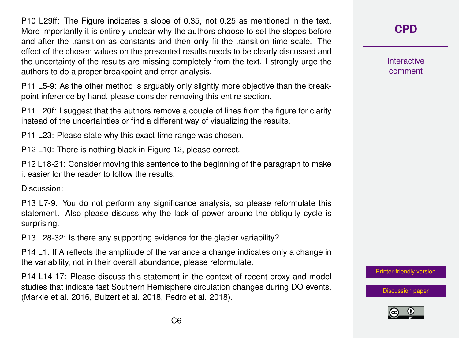P10 L29ff: The Figure indicates a slope of 0.35, not 0.25 as mentioned in the text. More importantly it is entirely unclear why the authors choose to set the slopes before and after the transition as constants and then only fit the transition time scale. The effect of the chosen values on the presented results needs to be clearly discussed and the uncertainty of the results are missing completely from the text. I strongly urge the authors to do a proper breakpoint and error analysis.

P11 L5-9: As the other method is arguably only slightly more objective than the breakpoint inference by hand, please consider removing this entire section.

P11 L20f: I suggest that the authors remove a couple of lines from the figure for clarity instead of the uncertainties or find a different way of visualizing the results.

P11 L23: Please state why this exact time range was chosen.

P12 L10: There is nothing black in Figure 12, please correct.

P12 L18-21: Consider moving this sentence to the beginning of the paragraph to make it easier for the reader to follow the results.

Discussion:

P13 L7-9: You do not perform any significance analysis, so please reformulate this statement. Also please discuss why the lack of power around the obliquity cycle is surprising.

P13 L28-32: Is there any supporting evidence for the glacier variability?

P14 L1: If A reflects the amplitude of the variance a change indicates only a change in the variability, not in their overall abundance, please reformulate.

P14 L14-17: Please discuss this statement in the context of recent proxy and model studies that indicate fast Southern Hemisphere circulation changes during DO events. (Markle et al. 2016, Buizert et al. 2018, Pedro et al. 2018).

**[CPD](https://www.clim-past-discuss.net/)**

**Interactive** comment

[Printer-friendly version](https://www.clim-past-discuss.net/cp-2018-171/cp-2018-171-RC3-print.pdf)

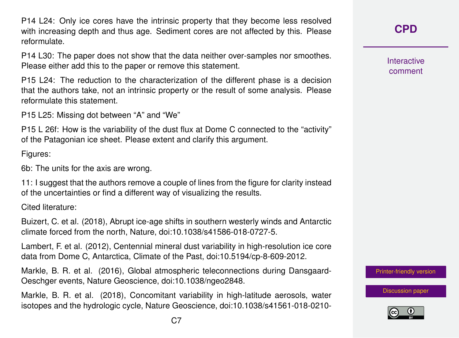P14 L24: Only ice cores have the intrinsic property that they become less resolved with increasing depth and thus age. Sediment cores are not affected by this. Please reformulate.

P14 L30: The paper does not show that the data neither over-samples nor smoothes. Please either add this to the paper or remove this statement.

P15 L24: The reduction to the characterization of the different phase is a decision that the authors take, not an intrinsic property or the result of some analysis. Please reformulate this statement.

P15 L25: Missing dot between "A" and "We"

P15 L 26f: How is the variability of the dust flux at Dome C connected to the "activity" of the Patagonian ice sheet. Please extent and clarify this argument.

Figures:

6b: The units for the axis are wrong.

11: I suggest that the authors remove a couple of lines from the figure for clarity instead of the uncertainties or find a different way of visualizing the results.

Cited literature:

Buizert, C. et al. (2018), Abrupt ice-age shifts in southern westerly winds and Antarctic climate forced from the north, Nature, doi:10.1038/s41586-018-0727-5.

Lambert, F. et al. (2012), Centennial mineral dust variability in high-resolution ice core data from Dome C, Antarctica, Climate of the Past, doi:10.5194/cp-8-609-2012.

Markle, B. R. et al. (2016), Global atmospheric teleconnections during Dansgaard-Oeschger events, Nature Geoscience, doi:10.1038/ngeo2848.

Markle, B. R. et al. (2018), Concomitant variability in high-latitude aerosols, water isotopes and the hydrologic cycle, Nature Geoscience, doi:10.1038/s41561-018-0210**[CPD](https://www.clim-past-discuss.net/)**

Interactive comment

[Printer-friendly version](https://www.clim-past-discuss.net/cp-2018-171/cp-2018-171-RC3-print.pdf)